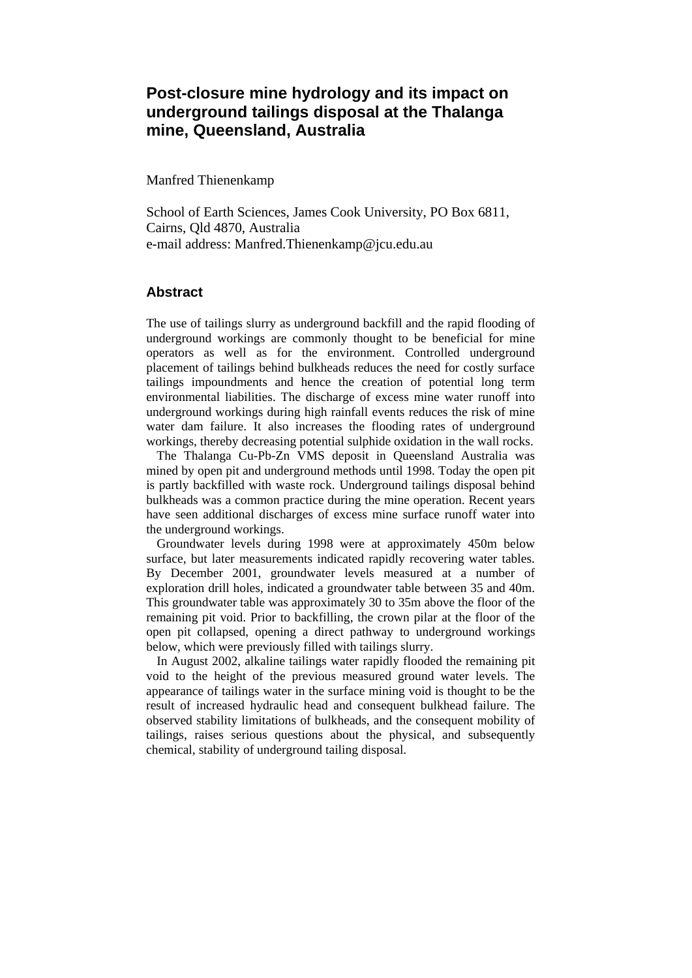# **Post-closure mine hydrology and its impact on underground tailings disposal at the Thalanga mine, Queensland, Australia**

Manfred Thienenkamp

School of Earth Sciences, James Cook University, PO Box 6811, Cairns, Qld 4870, Australia e-mail address: Manfred.Thienenkamp@jcu.edu.au

## **Abstract**

The use of tailings slurry as underground backfill and the rapid flooding of underground workings are commonly thought to be beneficial for mine operators as well as for the environment. Controlled underground placement of tailings behind bulkheads reduces the need for costly surface tailings impoundments and hence the creation of potential long term environmental liabilities. The discharge of excess mine water runoff into underground workings during high rainfall events reduces the risk of mine water dam failure. It also increases the flooding rates of underground workings, thereby decreasing potential sulphide oxidation in the wall rocks.

The Thalanga Cu-Pb-Zn VMS deposit in Queensland Australia was mined by open pit and underground methods until 1998. Today the open pit is partly backfilled with waste rock. Underground tailings disposal behind bulkheads was a common practice during the mine operation. Recent years have seen additional discharges of excess mine surface runoff water into the underground workings.

Groundwater levels during 1998 were at approximately 450m below surface, but later measurements indicated rapidly recovering water tables. By December 2001, groundwater levels measured at a number of exploration drill holes, indicated a groundwater table between 35 and 40m. This groundwater table was approximately 30 to 35m above the floor of the remaining pit void. Prior to backfilling, the crown pilar at the floor of the open pit collapsed, opening a direct pathway to underground workings below, which were previously filled with tailings slurry.

In August 2002, alkaline tailings water rapidly flooded the remaining pit void to the height of the previous measured ground water levels. The appearance of tailings water in the surface mining void is thought to be the result of increased hydraulic head and consequent bulkhead failure. The observed stability limitations of bulkheads, and the consequent mobility of tailings, raises serious questions about the physical, and subsequently chemical, stability of underground tailing disposal.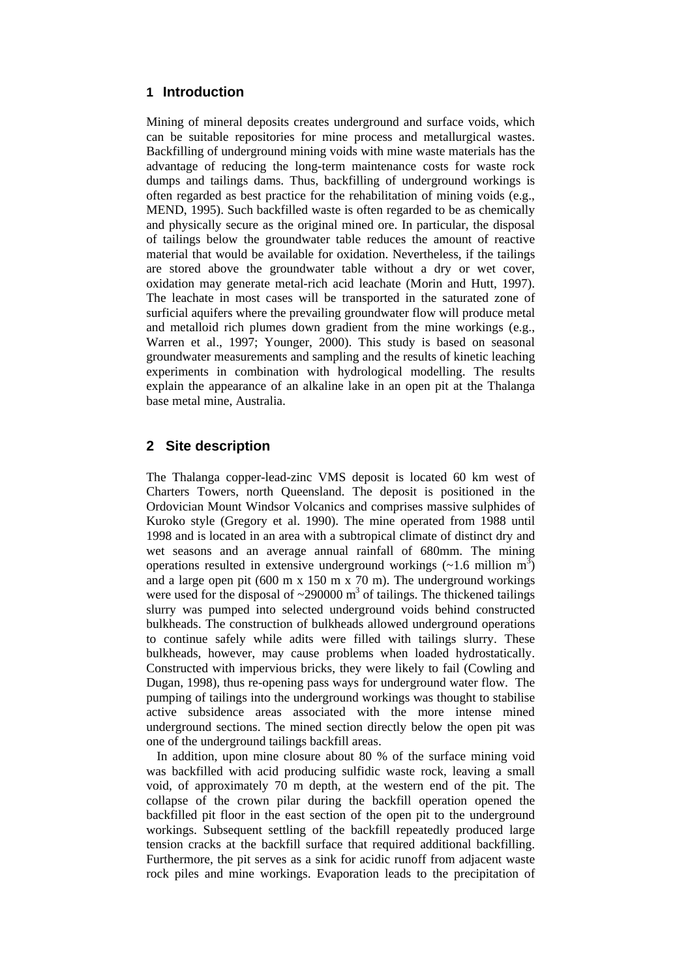# **1 Introduction**

Mining of mineral deposits creates underground and surface voids, which can be suitable repositories for mine process and metallurgical wastes. Backfilling of underground mining voids with mine waste materials has the advantage of reducing the long-term maintenance costs for waste rock dumps and tailings dams. Thus, backfilling of underground workings is often regarded as best practice for the rehabilitation of mining voids (e.g., MEND, 1995). Such backfilled waste is often regarded to be as chemically and physically secure as the original mined ore. In particular, the disposal of tailings below the groundwater table reduces the amount of reactive material that would be available for oxidation. Nevertheless, if the tailings are stored above the groundwater table without a dry or wet cover, oxidation may generate metal-rich acid leachate (Morin and Hutt, 1997). The leachate in most cases will be transported in the saturated zone of surficial aquifers where the prevailing groundwater flow will produce metal and metalloid rich plumes down gradient from the mine workings (e.g., Warren et al., 1997; Younger, 2000). This study is based on seasonal groundwater measurements and sampling and the results of kinetic leaching experiments in combination with hydrological modelling. The results explain the appearance of an alkaline lake in an open pit at the Thalanga base metal mine, Australia.

# **2 Site description**

The Thalanga copper-lead-zinc VMS deposit is located 60 km west of Charters Towers, north Queensland. The deposit is positioned in the Ordovician Mount Windsor Volcanics and comprises massive sulphides of Kuroko style (Gregory et al. 1990). The mine operated from 1988 until 1998 and is located in an area with a subtropical climate of distinct dry and wet seasons and an average annual rainfall of 680mm. The mining operations resulted in extensive underground workings  $(-1.6 \text{ million m}^3)$ and a large open pit (600 m x 150 m x 70 m). The underground workings were used for the disposal of  $\sim$ 290000 m<sup>3</sup> of tailings. The thickened tailings slurry was pumped into selected underground voids behind constructed bulkheads. The construction of bulkheads allowed underground operations to continue safely while adits were filled with tailings slurry. These bulkheads, however, may cause problems when loaded hydrostatically. Constructed with impervious bricks, they were likely to fail (Cowling and Dugan, 1998), thus re-opening pass ways for underground water flow. The pumping of tailings into the underground workings was thought to stabilise active subsidence areas associated with the more intense mined underground sections. The mined section directly below the open pit was one of the underground tailings backfill areas.

In addition, upon mine closure about 80 % of the surface mining void was backfilled with acid producing sulfidic waste rock, leaving a small void, of approximately 70 m depth, at the western end of the pit. The collapse of the crown pilar during the backfill operation opened the backfilled pit floor in the east section of the open pit to the underground workings. Subsequent settling of the backfill repeatedly produced large tension cracks at the backfill surface that required additional backfilling. Furthermore, the pit serves as a sink for acidic runoff from adjacent waste rock piles and mine workings. Evaporation leads to the precipitation of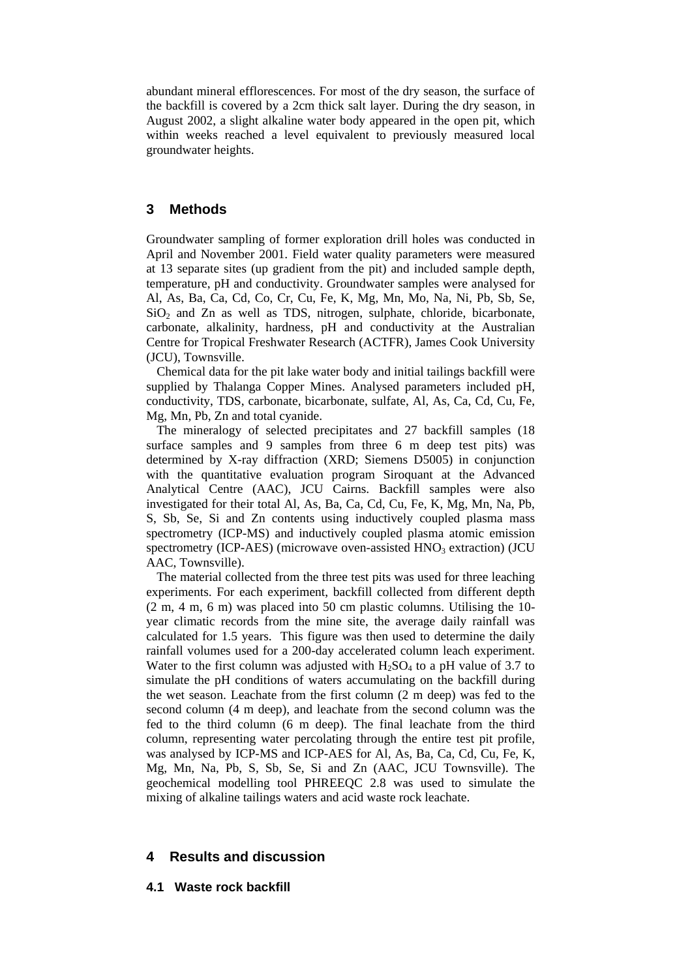abundant mineral efflorescences. For most of the dry season, the surface of the backfill is covered by a 2cm thick salt layer. During the dry season, in August 2002, a slight alkaline water body appeared in the open pit, which within weeks reached a level equivalent to previously measured local groundwater heights.

# **3 Methods**

Groundwater sampling of former exploration drill holes was conducted in April and November 2001. Field water quality parameters were measured at 13 separate sites (up gradient from the pit) and included sample depth, temperature, pH and conductivity. Groundwater samples were analysed for Al, As, Ba, Ca, Cd, Co, Cr, Cu, Fe, K, Mg, Mn, Mo, Na, Ni, Pb, Sb, Se,  $SiO<sub>2</sub>$  and Zn as well as TDS, nitrogen, sulphate, chloride, bicarbonate, carbonate, alkalinity, hardness, pH and conductivity at the Australian Centre for Tropical Freshwater Research (ACTFR), James Cook University (JCU), Townsville.

Chemical data for the pit lake water body and initial tailings backfill were supplied by Thalanga Copper Mines. Analysed parameters included pH, conductivity, TDS, carbonate, bicarbonate, sulfate, Al, As, Ca, Cd, Cu, Fe, Mg, Mn, Pb, Zn and total cyanide.

The mineralogy of selected precipitates and 27 backfill samples (18 surface samples and 9 samples from three 6 m deep test pits) was determined by X-ray diffraction (XRD; Siemens D5005) in conjunction with the quantitative evaluation program Siroquant at the Advanced Analytical Centre (AAC), JCU Cairns. Backfill samples were also investigated for their total Al, As, Ba, Ca, Cd, Cu, Fe, K, Mg, Mn, Na, Pb, S, Sb, Se, Si and Zn contents using inductively coupled plasma mass spectrometry (ICP-MS) and inductively coupled plasma atomic emission spectrometry (ICP-AES) (microwave oven-assisted  $HNO<sub>3</sub>$  extraction) (JCU AAC, Townsville).

The material collected from the three test pits was used for three leaching experiments. For each experiment, backfill collected from different depth (2 m, 4 m, 6 m) was placed into 50 cm plastic columns. Utilising the 10 year climatic records from the mine site, the average daily rainfall was calculated for 1.5 years. This figure was then used to determine the daily rainfall volumes used for a 200-day accelerated column leach experiment. Water to the first column was adjusted with  $H_2SO_4$  to a pH value of 3.7 to simulate the pH conditions of waters accumulating on the backfill during the wet season. Leachate from the first column (2 m deep) was fed to the second column (4 m deep), and leachate from the second column was the fed to the third column (6 m deep). The final leachate from the third column, representing water percolating through the entire test pit profile, was analysed by ICP-MS and ICP-AES for Al, As, Ba, Ca, Cd, Cu, Fe, K, Mg, Mn, Na, Pb, S, Sb, Se, Si and Zn (AAC, JCU Townsville). The geochemical modelling tool PHREEQC 2.8 was used to simulate the mixing of alkaline tailings waters and acid waste rock leachate.

# **4 Results and discussion**

#### **4.1 Waste rock backfill**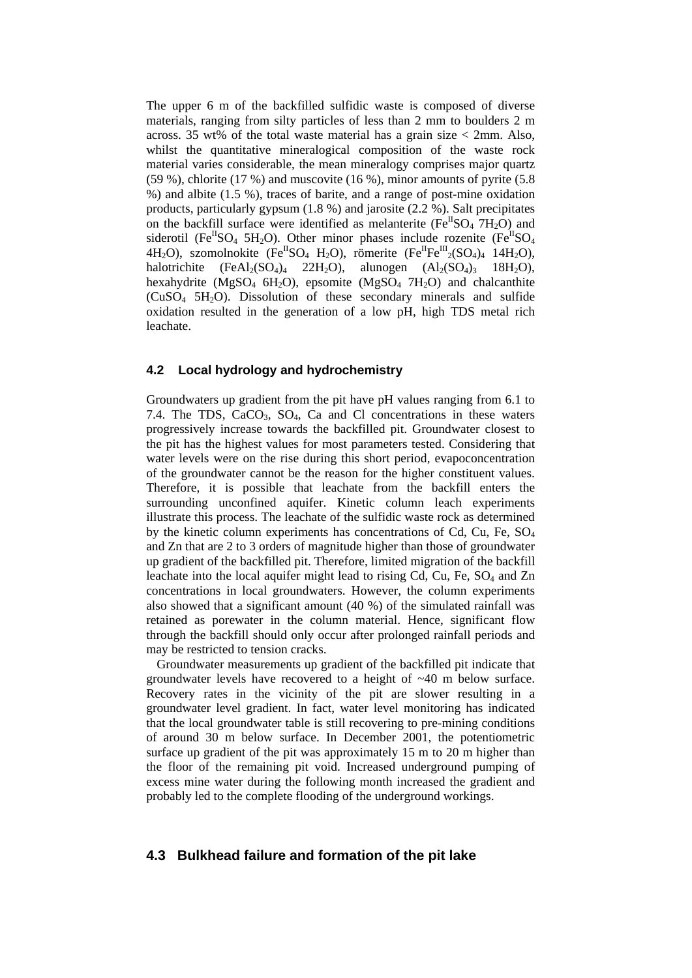The upper 6 m of the backfilled sulfidic waste is composed of diverse materials, ranging from silty particles of less than 2 mm to boulders 2 m across. 35 wt% of the total waste material has a grain size  $\lt$  2mm. Also, whilst the quantitative mineralogical composition of the waste rock material varies considerable, the mean mineralogy comprises major quartz (59 %), chlorite (17 %) and muscovite (16 %), minor amounts of pyrite (5.8 %) and albite (1.5 %), traces of barite, and a range of post-mine oxidation products, particularly gypsum (1.8 %) and jarosite (2.2 %). Salt precipitates on the backfill surface were identified as melanterite  $(Fe^{H}SO_{4} 7H_{2}O)$  and siderotil (Fe<sup>II</sup>SO<sub>4</sub> 5H<sub>2</sub>O). Other minor phases include rozenite (Fe<sup>II</sup>SO<sub>4</sub>) 4H<sub>2</sub>O), szomolnokite (Fe<sup>II</sup>SO<sub>4</sub> H<sub>2</sub>O), römerite (Fe<sup>II</sup>Fe<sup>III</sup><sub>2</sub>(SO<sub>4</sub>)<sub>4</sub> 14H<sub>2</sub>O), halotrichite (FeAl<sub>2</sub>(SO<sub>4</sub>)<sub>4</sub> 22H<sub>2</sub>O), alunogen  $(Al_2(SO_4)_3$  18H<sub>2</sub>O), hexahydrite (MgSO<sub>4</sub> 6H<sub>2</sub>O), epsomite (MgSO<sub>4</sub> 7H<sub>2</sub>O) and chalcanthite  $(CuSO<sub>4</sub> 5H<sub>2</sub>O)$ . Dissolution of these secondary minerals and sulfide oxidation resulted in the generation of a low pH, high TDS metal rich leachate.

#### **4.2 Local hydrology and hydrochemistry**

Groundwaters up gradient from the pit have pH values ranging from 6.1 to 7.4. The TDS,  $CaCO<sub>3</sub>$ ,  $SO<sub>4</sub>$ , Ca and Cl concentrations in these waters progressively increase towards the backfilled pit. Groundwater closest to the pit has the highest values for most parameters tested. Considering that water levels were on the rise during this short period, evapoconcentration of the groundwater cannot be the reason for the higher constituent values. Therefore, it is possible that leachate from the backfill enters the surrounding unconfined aquifer. Kinetic column leach experiments illustrate this process. The leachate of the sulfidic waste rock as determined by the kinetic column experiments has concentrations of Cd, Cu, Fe, SO4 and Zn that are 2 to 3 orders of magnitude higher than those of groundwater up gradient of the backfilled pit. Therefore, limited migration of the backfill leachate into the local aquifer might lead to rising Cd, Cu, Fe, SO<sub>4</sub> and Zn concentrations in local groundwaters. However, the column experiments also showed that a significant amount (40 %) of the simulated rainfall was retained as porewater in the column material. Hence, significant flow through the backfill should only occur after prolonged rainfall periods and may be restricted to tension cracks.

Groundwater measurements up gradient of the backfilled pit indicate that groundwater levels have recovered to a height of ~40 m below surface. Recovery rates in the vicinity of the pit are slower resulting in a groundwater level gradient. In fact, water level monitoring has indicated that the local groundwater table is still recovering to pre-mining conditions of around 30 m below surface. In December 2001, the potentiometric surface up gradient of the pit was approximately 15 m to 20 m higher than the floor of the remaining pit void. Increased underground pumping of excess mine water during the following month increased the gradient and probably led to the complete flooding of the underground workings.

# **4.3 Bulkhead failure and formation of the pit lake**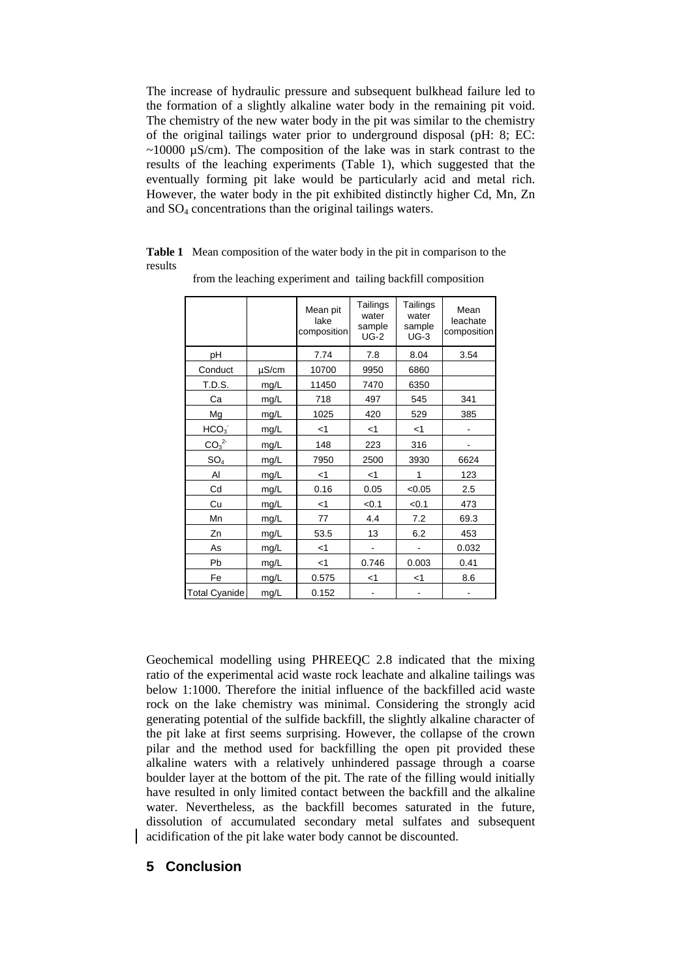The increase of hydraulic pressure and subsequent bulkhead failure led to the formation of a slightly alkaline water body in the remaining pit void. The chemistry of the new water body in the pit was similar to the chemistry of the original tailings water prior to underground disposal (pH: 8; EC:  $\sim$ 10000  $\mu$ S/cm). The composition of the lake was in stark contrast to the results of the leaching experiments (Table 1), which suggested that the eventually forming pit lake would be particularly acid and metal rich. However, the water body in the pit exhibited distinctly higher Cd, Mn, Zn and SO4 concentrations than the original tailings waters.

**Table 1** Mean composition of the water body in the pit in comparison to the results

|                              |            | Mean pit<br>lake<br>composition | Tailings<br>water<br>sample<br>$UG-2$ | Tailings<br>water<br>sample<br>$UG-3$ | Mean<br>leachate<br>composition |
|------------------------------|------------|---------------------------------|---------------------------------------|---------------------------------------|---------------------------------|
| рH                           |            | 7.74                            | 7.8                                   | 8.04                                  | 3.54                            |
| Conduct                      | $\mu$ S/cm | 10700                           | 9950                                  | 6860                                  |                                 |
| T.D.S.                       | mg/L       | 11450                           | 7470                                  | 6350                                  |                                 |
| Сa                           | mg/L       | 718                             | 497                                   | 545                                   | 341                             |
| Mg                           | mg/L       | 1025                            | 420                                   | 529                                   | 385                             |
| HCO <sub>3</sub>             | mg/L       | <1                              | <1                                    | $<$ 1                                 |                                 |
| CO <sub>3</sub> <sup>2</sup> | mg/L       | 148                             | 223                                   | 316                                   |                                 |
| SO <sub>4</sub>              | mg/L       | 7950                            | 2500                                  | 3930                                  | 6624                            |
| Al                           | mg/L       | $<$ 1                           | $<$ 1                                 | 1                                     | 123                             |
| Cd                           | mg/L       | 0.16                            | 0.05                                  | < 0.05                                | 2.5                             |
| Cu                           | mg/L       | $<$ 1                           | < 0.1                                 | < 0.1                                 | 473                             |
| Mn                           | mg/L       | 77                              | 4.4                                   | 7.2                                   | 69.3                            |
| Zn                           | mg/L       | 53.5                            | 13                                    | 6.2                                   | 453                             |
| As                           | mg/L       | $<$ 1                           |                                       |                                       | 0.032                           |
| Pb                           | mg/L       | $<$ 1                           | 0.746                                 | 0.003                                 | 0.41                            |
| Fe                           | mg/L       | 0.575                           | $<$ 1                                 | $<$ 1                                 | 8.6                             |
| <b>Total Cyanide</b>         | mg/L       | 0.152                           |                                       |                                       |                                 |

from the leaching experiment and tailing backfill composition

Geochemical modelling using PHREEQC 2.8 indicated that the mixing ratio of the experimental acid waste rock leachate and alkaline tailings was below 1:1000. Therefore the initial influence of the backfilled acid waste rock on the lake chemistry was minimal. Considering the strongly acid generating potential of the sulfide backfill, the slightly alkaline character of the pit lake at first seems surprising. However, the collapse of the crown pilar and the method used for backfilling the open pit provided these alkaline waters with a relatively unhindered passage through a coarse boulder layer at the bottom of the pit. The rate of the filling would initially have resulted in only limited contact between the backfill and the alkaline water. Nevertheless, as the backfill becomes saturated in the future, dissolution of accumulated secondary metal sulfates and subsequent acidification of the pit lake water body cannot be discounted.

# **5 Conclusion**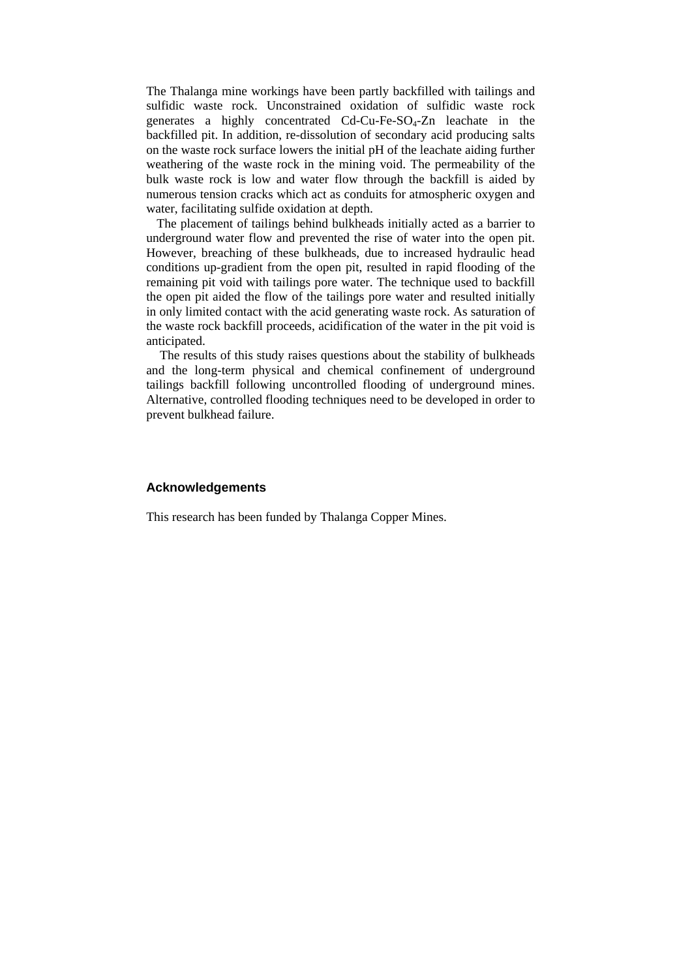The Thalanga mine workings have been partly backfilled with tailings and sulfidic waste rock. Unconstrained oxidation of sulfidic waste rock generates a highly concentrated Cd-Cu-Fe-SO4-Zn leachate in the backfilled pit. In addition, re-dissolution of secondary acid producing salts on the waste rock surface lowers the initial pH of the leachate aiding further weathering of the waste rock in the mining void. The permeability of the bulk waste rock is low and water flow through the backfill is aided by numerous tension cracks which act as conduits for atmospheric oxygen and water, facilitating sulfide oxidation at depth.

The placement of tailings behind bulkheads initially acted as a barrier to underground water flow and prevented the rise of water into the open pit. However, breaching of these bulkheads, due to increased hydraulic head conditions up-gradient from the open pit, resulted in rapid flooding of the remaining pit void with tailings pore water. The technique used to backfill the open pit aided the flow of the tailings pore water and resulted initially in only limited contact with the acid generating waste rock. As saturation of the waste rock backfill proceeds, acidification of the water in the pit void is anticipated.

 The results of this study raises questions about the stability of bulkheads and the long-term physical and chemical confinement of underground tailings backfill following uncontrolled flooding of underground mines. Alternative, controlled flooding techniques need to be developed in order to prevent bulkhead failure.

#### **Acknowledgements**

This research has been funded by Thalanga Copper Mines.